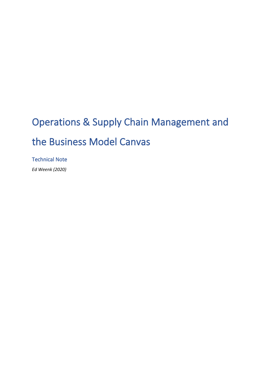# Operations & Supply Chain Management and the Business Model Canvas

Technical Note

*Ed Weenk (2020)*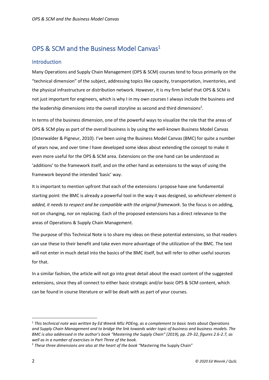# OPS & SCM and the Business Model Canvas<sup>1</sup>

#### Introduction

Many Operations and Supply Chain Management (OPS & SCM) courses tend to focus primarily on the "technical dimension" of the subject, addressing topics like capacity, transportation, inventories, and the physical infrastructure or distribution network. However, it is my firm belief that OPS & SCM is not just important for engineers, which is why I in my own courses I always include the business and the leadership dimensions into the overall storyline as second and third dimensions<sup>2</sup>.

In terms of the business dimension, one of the powerful ways to visualize the role that the areas of OPS & SCM play as part of the overall business is by using the well-known Business Model Canvas (Osterwalder & Pigneur, 2010). I've been using the Business Model Canvas (BMC) for quite a number of years now, and over time I have developed some ideas about extending the concept to make it even more useful for the OPS & SCM area. Extensions on the one hand can be understood as 'additions' to the framework itself, and on the other hand as extensions to the ways of using the framework beyond the intended 'basic' way.

It is important to mention upfront that each of the extensions I propose have one fundamental starting point: the BMC is already a powerful tool in the way it was designed, so *whichever element is added, it needs to respect and be compatible with the original framework*. So the focus is on adding, not on changing, nor on replacing. Each of the proposed extensions has a direct relevance to the areas of Operations & Supply Chain Management.

The purpose of this Technical Note is to share my ideas on these potential extensions, so that readers can use these to their benefit and take even more advantage of the utilization of the BMC. The text will not enter in much detail into the basics of the BMC itself, but will refer to other useful sources for that.

In a similar fashion, the article will not go into great detail about the exact content of the suggested extensions, since they all connect to either basic strategic and/or basic OPS & SCM content, which can be found in course literature or will be dealt with as part of your courses.

<sup>1</sup> *This technical note was written by Ed Weenk MSc PDEng, as a complement to basic texts about Operations and Supply Chain Management and to bridge the link towards wider topic of business and business models. The BMC is also addressed in the author's book "Mastering the Supply Chain" (2019), pp. 29-32, figures 2.6-2.7, as well as in a number of exercises in Part Three of the book.*

<sup>2</sup> *These three dimensions are also at the heart of the book "*Mastering the Supply Chain"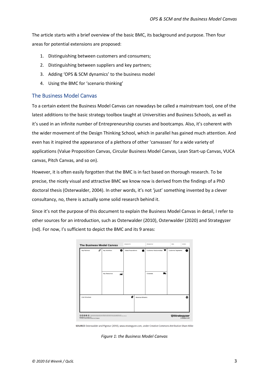The article starts with a brief overview of the basic BMC, its background and purpose. Then four areas for potential extensions are proposed:

- 1. Distinguishing between customers and consumers;
- 2. Distinguishing between suppliers and key partners;
- 3. Adding 'OPS & SCM dynamics' to the business model
- 4. Using the BMC for 'scenario thinking'

#### The Business Model Canvas

To a certain extent the Business Model Canvas can nowadays be called a mainstream tool, one of the latest additions to the basic strategy toolbox taught at Universities and Business Schools, as well as it's used in an infinite number of Entrepreneurship courses and bootcamps. Also, it's coherent with the wider movement of the Design Thinking School, which in parallel has gained much attention. And even has it inspired the appearance of a plethora of other 'canvasses' for a wide variety of applications (Value Proposition Canvas, Circular Business Model Canvas, Lean Start-up Canvas, VUCA canvas, Pitch Canvas, and so on).

However, it is often easily forgotten that the BMC is in fact based on thorough research. To be precise, the nicely visual and attractive BMC we know now is derived from the findings of a PhD doctoral thesis (Osterwalder, 2004). In other words, it's not 'just' something invented by a clever consultancy, no, there is actually some solid research behind it.

Since it's not the purpose of this document to explain the Business Model Canvas in detail, I refer to other sources for an introduction, such as Osterwalder (2010), Osterwalder (2020) and Strategyzer (nd). For now, I's sufficient to depict the BMC and its 9 areas:



SOURCE Osterwalder and Pigneur (2010), www.strategyzer.com, under Creative Commons Attribution Share Alike

*Figure 1: the Business Model Canvas*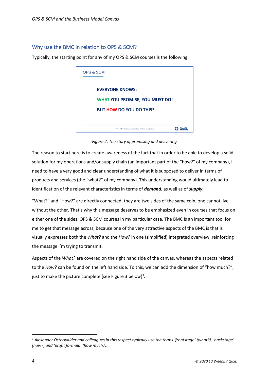#### Why use the BMC in relation to OPS & SCM?

Typically, the starting point for any of my OPS & SCM courses is the following:



*Figure 2: The story of promising and delivering*

The reason to start here is to create awareness of the fact that in order to be able to develop a solid solution for my operations and/or supply chain (an important part of the "how?" of my company), I need to have a very good and clear understanding of what it is supposed to deliver in terms of products and services (the "what?" of my company). This understanding would ultimately lead to identification of the relevant characteristics in terms of *demand*, as well as of *supply*.

"What?" and "How?" are directly connected, they are two sides of the same coin, one cannot live without the other. That's why this message deserves to be emphasized even in courses that focus on either one of the sides, OPS & SCM courses in my particular case. The BMC is an important tool for me to get that message across, because one of the very attractive aspects of the BMC is that is visually expresses both the *What?* and the *How?* in one (simplified) integrated overview, reinforcing the message I'm trying to transmit.

Aspects of the *What?* are covered on the right hand side of the canvas, whereas the aspects related to the *How?* can be found on the left hand side. To this, we can add the dimension of "how much?", just to make the picture complete (see Figure 3 below)<sup>3</sup>.

<sup>3</sup> *Alexander Osterwalder and colleagues in this respect typically use the terms 'frontstage' (what?), 'backstage' (how?) and 'profit formula' (how much?).*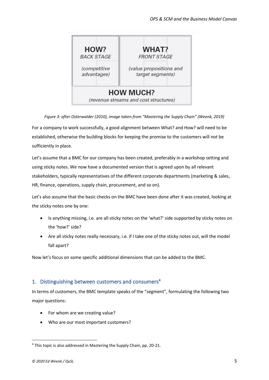

*Figure 3: after Osterwalder (2010), image taken from "Mastering the Supply Chain" (Weenk, 2019)* For a company to work successfully, a good alignment between What? and How? will need to be established, otherwise the building blocks for keeping the promise to the customers will not be

sufficiently in place.

Let's assume that a BMC for our company has been created, preferably in a workshop setting and using sticky notes. We now have a documented version that is agreed upon by all relevant stakeholders, typically representatives of the different corporate departments (marketing & sales, HR, finance, operations, supply chain, procurement, and so on).

Let's also assume that the basic checks on the BMC have been done after it was created, looking at the sticky notes one by one:

- Is anything missing, i.e. are all sticky notes on the 'what?' side supported by sticky notes on the 'how?' side?
- Are all sticky notes really necessary, i.e. if I take one of the sticky notes out, will the model fall apart?

Now let's focus on some specific additional dimensions that can be added to the BMC.

## 1. Distinguishing between customers and consumers<sup>4</sup>

In terms of customers, the BMC template speaks of the "segment", formulating the following two major questions:

- For whom are we creating value?
- Who are our most important customers?

<sup>4</sup> This topic is also addressed in Mastering the Supply Chain, pp. 20-21.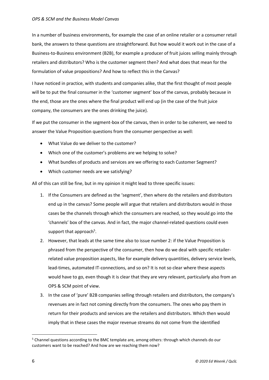In a number of business environments, for example the case of an online retailer or a consumer retail bank, the answers to these questions are straightforward. But how would it work out in the case of a Business-to-Business environment (B2B), for example a producer of fruit juices selling mainly through retailers and distributors? Who is the customer segment then? And what does that mean for the formulation of value propositions? And how to reflect this in the Canvas?

I have noticed in practice, with students and companies alike, that the first thought of most people will be to put the final consumer in the 'customer segment' box of the canvas, probably because in the end, those are the ones where the final product will end up (in the case of the fruit juice company, the consumers are the ones drinking the juice).

If we put the consumer in the segment-box of the canvas, then in order to be coherent, we need to answer the Value Proposition questions from the consumer perspective as well:

- What Value do we deliver to the customer?
- Which one of the customer's problems are we helping to solve?
- What bundles of products and services are we offering to each Customer Segment?
- Which customer needs are we satisfying?

All of this can still be fine, but in my opinion it might lead to three specific issues:

- 1. If the Consumers are defined as the 'segment', then where do the retailers and distributors end up in the canvas? Some people will argue that retailers and distributors would in those cases be the channels through which the consumers are reached, so they would go into the 'channels' box of the canvas. And in fact, the major channel-related questions could even support that approach<sup>5</sup>.
- 2. However, that leads at the same time also to issue number 2: if the Value Proposition is phrased from the perspective of the consumer, then how do we deal with specific retailerrelated value proposition aspects, like for example delivery quantities, delivery service levels, lead-times, automated IT-connections, and so on? It is not so clear where these aspects would have to go, even though it is clear that they are very relevant, particularly also from an OPS & SCM point of view.
- 3. In the case of 'pure' B2B companies selling through retailers and distributors, the company's revenues are in fact not coming directly from the consumers. The ones who pay them in return for their products and services are the retailers and distributors. Which then would imply that in these cases the major revenue streams do not come from the identified

 $5$  Channel questions according to the BMC template are, among others: through which channels do our customers want to be reached? And how are we reaching them now?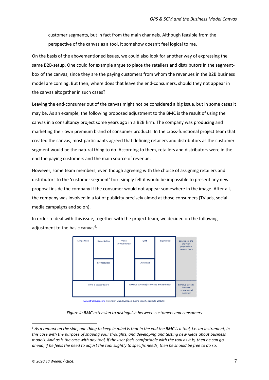customer segments, but in fact from the main channels. Although feasible from the perspective of the canvas as a tool, it somehow doesn't feel logical to me.

On the basis of the abovementioned issues, we could also look for another way of expressing the same B2B-setup. One could for example argue to place the retailers and distributors in the segmentbox of the canvas, since they are the paying customers from whom the revenues in the B2B business model are coming. But then, where does that leave the end-consumers, should they not appear in the canvas altogether in such cases?

Leaving the end-consumer out of the canvas might not be considered a big issue, but in some cases it may be. As an example, the following proposed adjustment to the BMC is the result of using the canvas in a consultancy project some years ago in a B2B firm. The company was producing and marketing their own premium brand of consumer products. In the cross-functional project team that created the canvas, most participants agreed that defining retailers and distributors as the customer segment would be the natural thing to do. According to them, retailers and distributors were in the end the paying customers and the main source of revenue.

However, some team members, even though agreeing with the choice of assigning retailers and distributors to the 'customer segment' box, simply felt it would be impossible to present any new proposal inside the company if the consumer would not appear somewhere in the image. After all, the company was involved in a lot of publicity precisely aimed at those consumers (TV ads, social media campaigns and so on).

In order to deal with this issue, together with the project team, we decided on the following adjustment to the basic canvas<sup>6</sup>:



www.strategyzer.com (Extension was developed during specific projects at QuSL)

*Figure 4: BMC extension to distinguish between customers and consumers*

<sup>6</sup> *As a remark on the side, one thing to keep in mind is that in the end the BMC is a tool, i.e. an instrument, in this case with the purpose of shaping your thoughts, and developing and testing new ideas about business models. And as is the case with any tool, if the user feels comfortable with the tool as it is, then he can go ahead, if he feels the need to adjust the tool slightly to specific needs, then he should be free to do so.*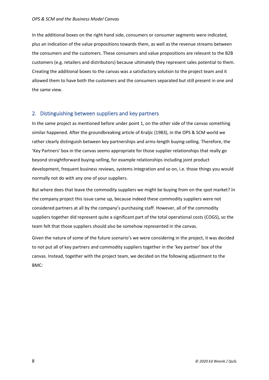In the additional boxes on the right hand side, consumers or consumer segments were indicated, plus an indication of the value propositions towards them, as well as the revenue streams between the consumers and the customers. These consumers and value propositions are relevant to the B2B customers (e.g. retailers and distributors) because ultimately they represent sales potential to them. Creating the additional boxes to the canvas was a satisfactory solution to the project team and it allowed them to have both the customers and the consumers separated but still present in one and the same view.

#### 2. Distinguishing between suppliers and key partners

In the same project as mentioned before under point 1, on the other side of the canvas something similar happened. After the groundbreaking article of Kraljic (1983), in the OPS & SCM world we rather clearly distinguish between key partnerships and arms-length buying-selling. Therefore, the 'Key Partners' box in the canvas seems appropriate for those supplier relationships that really go beyond straightforward buying-selling, for example relationships including joint product development, frequent business reviews, systems integration and so on, i.e. those things you would normally not do with any one of your suppliers.

But where does that leave the commodity suppliers we might be buying from on the spot market? In the company project this issue came up, because indeed these commodity suppliers were not considered partners at all by the company's purchasing staff. However, all of the commodity suppliers together did represent quite a significant part of the total operational costs (COGS), so the team felt that those suppliers should also be somehow represented in the canvas.

Given the nature of some of the future scenario's we were considering in the project, it was decided to not put all of key partners and commodity suppliers together in the 'key partner' box of the canvas. Instead, together with the project team, we decided on the following adjustment to the BMC: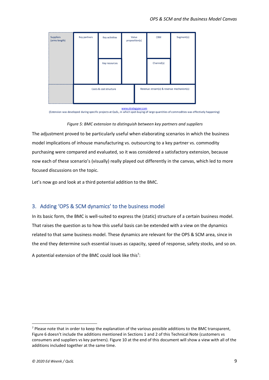| <br><b>Suppliers</b><br>(arms-length) | Key partners           | Key activities | Value<br>proposition(s) |                                          | <b>CRM</b> | Segment(s) |
|---------------------------------------|------------------------|----------------|-------------------------|------------------------------------------|------------|------------|
|                                       |                        | Key resources  |                         |                                          | Channel(s) |            |
| ,,,,,,,,,,,,,,,,,,,,,,,,,,,,,,,,,,    | Costs & cost structure |                |                         | Revenue stream(s) & revenue mechanism(s) |            |            |

www.strategyzer.com

(Extension was developed during specific projects at QuSL, in which spot-buying of large quantities of commodities was effectively happening)

#### *Figure 5: BMC extension to distinguish between key partners and suppliers*

The adjustment proved to be particularly useful when elaborating scenarios in which the business model implications of inhouse manufacturing vs. outsourcing to a key partner vs. commodity purchasing were compared and evaluated, so it was considered a satisfactory extension, because now each of these scenario's (visually) really played out differently in the canvas, which led to more focused discussions on the topic.

Let's now go and look at a third potential addition to the BMC.

#### 3. Adding 'OPS & SCM dynamics' to the business model

In its basic form, the BMC is well-suited to express the (static) structure of a certain business model. That raises the question as to how this useful basis can be extended with a view on the dynamics related to that same business model. These dynamics are relevant for the OPS & SCM area, since in the end they determine such essential issues as capacity, speed of response, safety stocks, and so on.

A potential extension of the BMC could look like this<sup>7</sup>:

<sup>&</sup>lt;sup>7</sup> Please note that in order to keep the explanation of the various possible additions to the BMC transparent, Figure 6 doesn't include the additions mentioned in Sections 1 and 2 of this Technical Note (customers vs consumers and suppliers vs key partners). Figure 10 at the end of this document will show a view with all of the additions included together at the same time.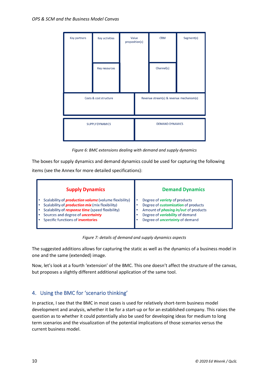

*Figure 6: BMC extensions dealing with demand and supply dynamics*

The boxes for supply dynamics and demand dynamics could be used for capturing the following items (see the Annex for more detailed specifications):



*Figure 7: details of demand and supply dynamics aspects*

The suggested additions allows for capturing the static as well as the dynamics of a business model in one and the same (extended) image.

Now, let's look at a fourth 'extension' of the BMC. This one doesn't affect the structure of the canvas, but proposes a slightly different additional application of the same tool.

### 4. Using the BMC for 'scenario thinking'

In practice, I see that the BMC in most cases is used for relatively short-term business model development and analysis, whether it be for a start-up or for an established company. This raises the question as to whether it could potentially also be used for developing ideas for medium to long term scenarios and the visualization of the potential implications of those scenarios versus the current business model.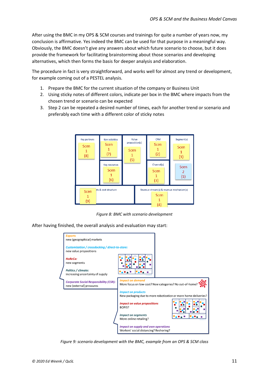After using the BMC in my OPS & SCM courses and trainings for quite a number of years now, my conclusion is affirmative. Yes indeed the BMC can be used for that purpose in a meaningful way. Obviously, the BMC doesn't give any answers about which future scenario to choose, but it does provide the framework for facilitating brainstorming about those scenarios and developing alternatives, which then forms the basis for deeper analysis and elaboration.

The procedure in fact is very straightforward, and works well for almost any trend or development, for example coming out of a PESTEL analysis.

- 1. Prepare the BMC for the current situation of the company or Business Unit
- 2. Using sticky notes of different colors, indicate per box in the BMC where impacts from the chosen trend or scenario can be expected
- 3. Step 2 can be repeated a desired number of times, each for another trend or scenario and preferably each time with a different color of sticky notes



*Figure 8: BMC with scenario development*

After having finished, the overall analysis and evaluation may start:



*Figure 9: scenario development with the BMC, example from an OPS & SCM class*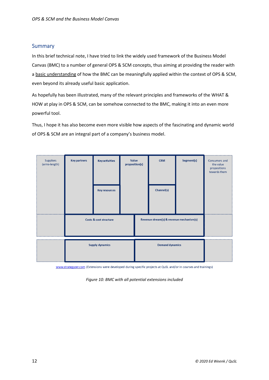#### **Summary**

In this brief technical note, I have tried to link the widely used framework of the Business Model Canvas (BMC) to a number of general OPS & SCM concepts, thus aiming at providing the reader with a basic understanding of how the BMC can be meaningfully applied within the context of OPS & SCM, even beyond its already useful basic application.

As hopefully has been illustrated, many of the relevant principles and frameworks of the WHAT & HOW at play in OPS & SCM, can be somehow connected to the BMC, making it into an even more powerful tool.

Thus, I hope it has also become even more visible how aspects of the fascinating and dynamic world of OPS & SCM are an integral part of a company's business model.



www.strategyzer.com (Extensions were developed during specific projects at QuSL and/or in courses and trainings)

*Figure 10: BMC with all potential extensions included*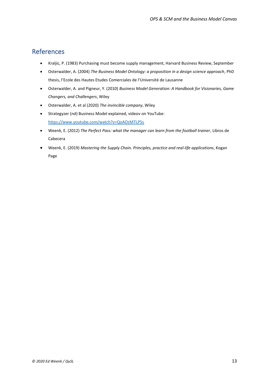## References

- Kraljic, P. (1983) Purchasing must become supply management, Harvard Business Review, September
- Osterwalder, A. (2004) *The Business Model Ontology: a proposition in a design science approach*, PhD thesis, l'Ecole des Hautes Etudes Comerciales de l'Université de Lausanne
- Osterwalder, A. and Pigneur, Y. (2010) *Business Model Generation: A Handbook for Visionaries, Game Changers, and Challengers*, Wiley
- Osterwalder, A. et al (2020) *The invincible company*, Wiley
- Strategyzer (nd) Business Model explained, videov on YouTube: <https://www.youtube.com/watch?v=QoAOzMTLP5s>
- Weenk, E. (2012) *The Perfect Pass: what the manager can learn from the football trainer*, Libros de Cabecera
- Weenk, E. (2019) *Mastering the Supply Chain. Principles, practice and real-life applications*, Kogan Page